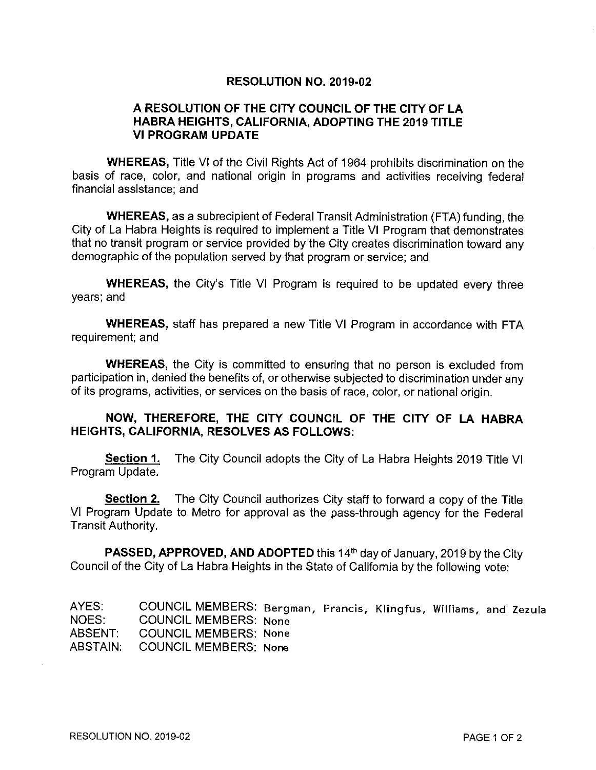#### **RESOLUTION NO. 2019-02**

#### A RESOLUTION OF THE CITY COUNCIL OF THE CITY OF LA HABRA HEIGHTS, CALIFORNIA, ADOPTING THE 2019 TITLE **VI PROGRAM UPDATE**

**WHEREAS, Title VI of the Civil Rights Act of 1964 prohibits discrimination on the** basis of race, color, and national origin in programs and activities receiving federal financial assistance: and

**WHEREAS, as a subrecipient of Federal Transit Administration (FTA) funding, the** City of La Habra Heights is required to implement a Title VI Program that demonstrates that no transit program or service provided by the City creates discrimination toward any demographic of the population served by that program or service; and

**WHEREAS, the City's Title VI Program is required to be updated every three** years; and

**WHEREAS, staff has prepared a new Title VI Program in accordance with FTA** requirement; and

WHEREAS, the City is committed to ensuring that no person is excluded from participation in, denied the benefits of, or otherwise subjected to discrimination under any of its programs, activities, or services on the basis of race, color, or national origin.

#### NOW, THEREFORE, THE CITY COUNCIL OF THE CITY OF LA HABRA **HEIGHTS, CALIFORNIA, RESOLVES AS FOLLOWS:**

Section 1. The City Council adopts the City of La Habra Heights 2019 Title VI Program Update.

Section 2. The City Council authorizes City staff to forward a copy of the Title VI Program Update to Metro for approval as the pass-through agency for the Federal Transit Authority.

**PASSED, APPROVED, AND ADOPTED** this 14<sup>th</sup> day of January, 2019 by the City Council of the City of La Habra Heights in the State of California by the following vote:

AYES: COUNCIL MEMBERS: Bergman, Francis, Klingfus, Williams, and Zezula **COUNCIL MEMBERS: None** NOES: ABSENT: **COUNCIL MEMBERS: None** ABSTAIN: **COUNCIL MEMBERS: None**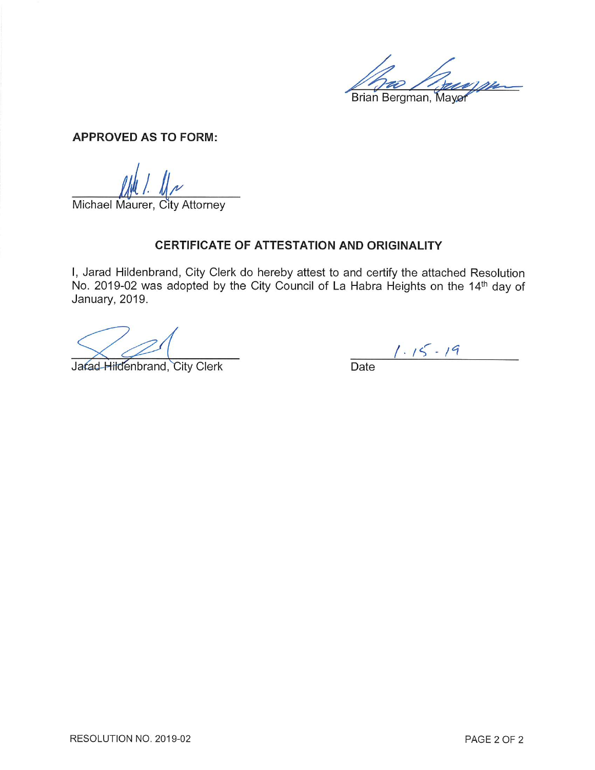Brian Bergman, Mayor

**APPROVED AS TO FORM:** 

Michael Maurer, City Attorney

#### CERTIFICATE OF ATTESTATION AND ORIGINALITY

I, Jarad Hildenbrand, City Clerk do hereby attest to and certify the attached Resolution No. 2019-02 was adopted by the City Council of La Habra Heights on the 14th day of January, 2019.

Jarad Hildenbrand, City Clerk

 $1.15 - 19$ <br>Date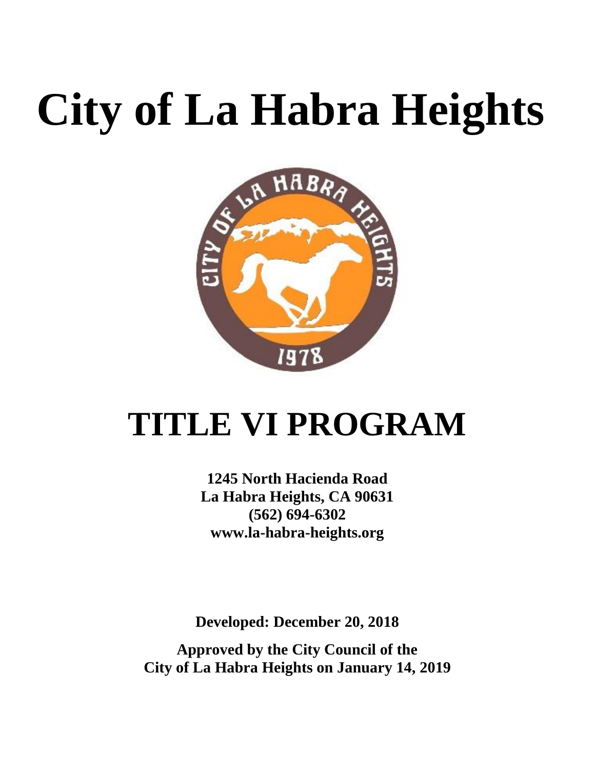# **City of La Habra Heights**



## **TITLE VI PROGRAM**

**1245 North Hacienda Road La Habra Heights, CA 90631 (562) 694-6302 www.la-habra-heights.org**

**Developed: December 20, 2018**

**Approved by the City Council of the City of La Habra Heights on January 14, 2019**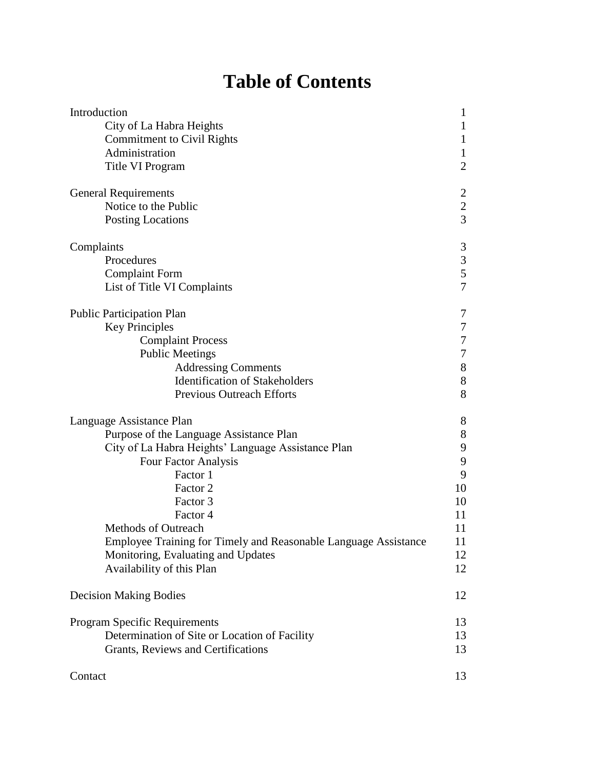## **Table of Contents**

| Introduction                                                    | 1                |
|-----------------------------------------------------------------|------------------|
| City of La Habra Heights                                        | $\mathbf{1}$     |
| <b>Commitment to Civil Rights</b>                               | $\mathbf{1}$     |
| Administration                                                  | $\mathbf{1}$     |
| Title VI Program                                                | $\overline{2}$   |
| <b>General Requirements</b>                                     |                  |
| Notice to the Public                                            | $\frac{2}{3}$    |
| <b>Posting Locations</b>                                        |                  |
| Complaints                                                      | 3                |
| Procedures                                                      | 3                |
| <b>Complaint Form</b>                                           | 5                |
| List of Title VI Complaints                                     | $\overline{7}$   |
| <b>Public Participation Plan</b>                                | 7                |
| <b>Key Principles</b>                                           | $\boldsymbol{7}$ |
| <b>Complaint Process</b>                                        | $\overline{7}$   |
| <b>Public Meetings</b>                                          | $\overline{7}$   |
| <b>Addressing Comments</b>                                      | 8                |
| <b>Identification of Stakeholders</b>                           | 8                |
| Previous Outreach Efforts                                       | 8                |
| Language Assistance Plan                                        | 8                |
| Purpose of the Language Assistance Plan                         | 8                |
| City of La Habra Heights' Language Assistance Plan              | 9                |
| Four Factor Analysis                                            | 9                |
| Factor 1                                                        | 9                |
| Factor 2                                                        | 10               |
| Factor 3                                                        | 10               |
| Factor 4                                                        | 11               |
| <b>Methods of Outreach</b>                                      | 11               |
| Employee Training for Timely and Reasonable Language Assistance | 11               |
| Monitoring, Evaluating and Updates                              | 12               |
| Availability of this Plan                                       | 12               |
| <b>Decision Making Bodies</b>                                   | 12               |
| Program Specific Requirements                                   | 13               |
| Determination of Site or Location of Facility                   | 13               |
| Grants, Reviews and Certifications                              | 13               |
| Contact                                                         | 13               |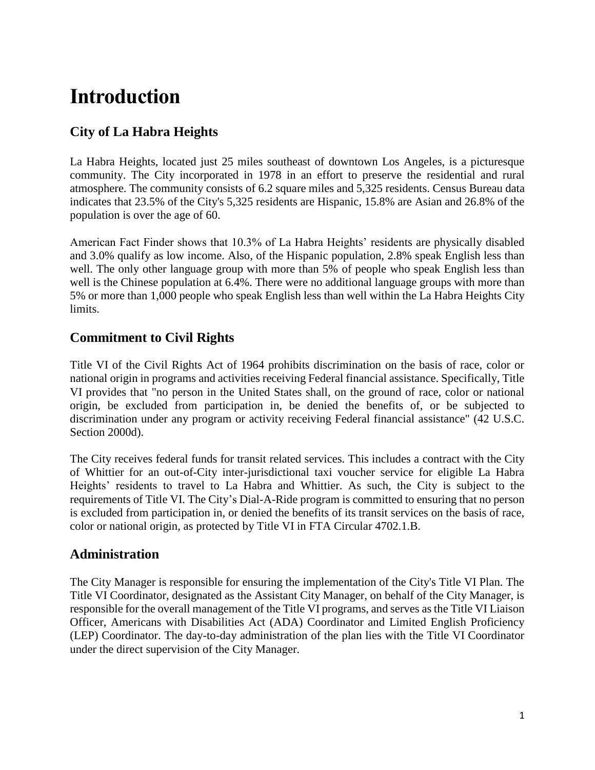## **Introduction**

#### **City of La Habra Heights**

La Habra Heights, located just 25 miles southeast of downtown Los Angeles, is a picturesque community. The City incorporated in 1978 in an effort to preserve the residential and rural atmosphere. The community consists of 6.2 square miles and 5,325 residents. Census Bureau data indicates that 23.5% of the City's 5,325 residents are Hispanic, 15.8% are Asian and 26.8% of the population is over the age of 60.

American Fact Finder shows that 10.3% of La Habra Heights' residents are physically disabled and 3.0% qualify as low income. Also, of the Hispanic population, 2.8% speak English less than well. The only other language group with more than 5% of people who speak English less than well is the Chinese population at 6.4%. There were no additional language groups with more than 5% or more than 1,000 people who speak English less than well within the La Habra Heights City limits.

#### **Commitment to Civil Rights**

Title VI of the Civil Rights Act of 1964 prohibits discrimination on the basis of race, color or national origin in programs and activities receiving Federal financial assistance. Specifically, Title VI provides that "no person in the United States shall, on the ground of race, color or national origin, be excluded from participation in, be denied the benefits of, or be subjected to discrimination under any program or activity receiving Federal financial assistance" (42 U.S.C. Section 2000d).

The City receives federal funds for transit related services. This includes a contract with the City of Whittier for an out-of-City inter-jurisdictional taxi voucher service for eligible La Habra Heights' residents to travel to La Habra and Whittier. As such, the City is subject to the requirements of Title VI. The City's Dial-A-Ride program is committed to ensuring that no person is excluded from participation in, or denied the benefits of its transit services on the basis of race, color or national origin, as protected by Title VI in FTA Circular 4702.1.B.

#### **Administration**

The City Manager is responsible for ensuring the implementation of the City's Title VI Plan. The Title VI Coordinator, designated as the Assistant City Manager, on behalf of the City Manager, is responsible for the overall management of the Title VI programs, and serves as the Title VI Liaison Officer, Americans with Disabilities Act (ADA) Coordinator and Limited English Proficiency (LEP) Coordinator. The day-to-day administration of the plan lies with the Title VI Coordinator under the direct supervision of the City Manager.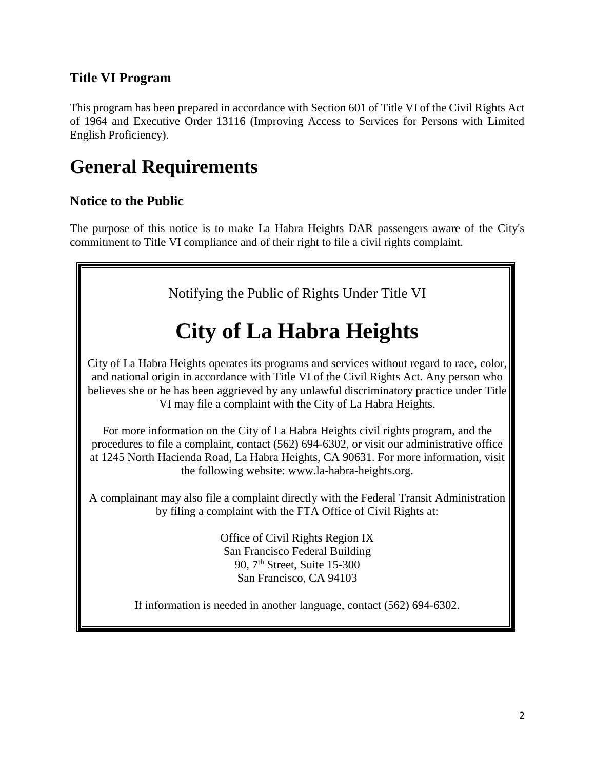#### **Title VI Program**

This program has been prepared in accordance with Section 601 of Title VI of the Civil Rights Act of 1964 and Executive Order 13116 (Improving Access to Services for Persons with Limited English Proficiency).

## **General Requirements**

#### **Notice to the Public**

The purpose of this notice is to make La Habra Heights DAR passengers aware of the City's commitment to Title VI compliance and of their right to file a civil rights complaint.

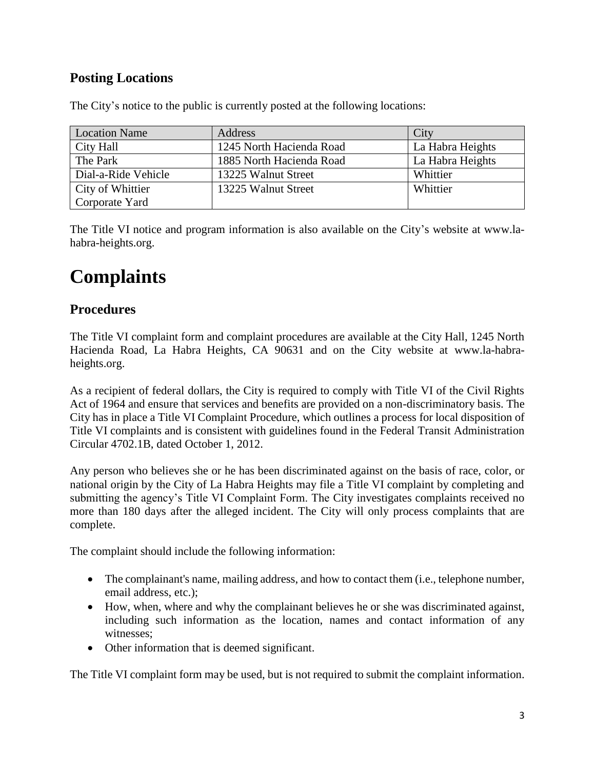#### **Posting Locations**

| <b>Location Name</b> | Address                  | City             |
|----------------------|--------------------------|------------------|
| City Hall            | 1245 North Hacienda Road | La Habra Heights |
| The Park             | 1885 North Hacienda Road | La Habra Heights |
| Dial-a-Ride Vehicle  | 13225 Walnut Street      | Whittier         |
| City of Whittier     | 13225 Walnut Street      | Whittier         |
| Corporate Yard       |                          |                  |

The City's notice to the public is currently posted at the following locations:

The Title VI notice and program information is also available on the City's website at www.lahabra-heights.org.

## **Complaints**

#### **Procedures**

The Title VI complaint form and complaint procedures are available at the City Hall, 1245 North Hacienda Road, La Habra Heights, CA 90631 and on the City website at www.la-habraheights.org.

As a recipient of federal dollars, the City is required to comply with Title VI of the Civil Rights Act of 1964 and ensure that services and benefits are provided on a non-discriminatory basis. The City has in place a Title VI Complaint Procedure, which outlines a process for local disposition of Title VI complaints and is consistent with guidelines found in the Federal Transit Administration Circular 4702.1B, dated October 1, 2012.

Any person who believes she or he has been discriminated against on the basis of race, color, or national origin by the City of La Habra Heights may file a Title VI complaint by completing and submitting the agency's Title VI Complaint Form. The City investigates complaints received no more than 180 days after the alleged incident. The City will only process complaints that are complete.

The complaint should include the following information:

- The complainant's name, mailing address, and how to contact them (i.e., telephone number, email address, etc.);
- How, when, where and why the complainant believes he or she was discriminated against, including such information as the location, names and contact information of any witnesses;
- Other information that is deemed significant.

The Title VI complaint form may be used, but is not required to submit the complaint information.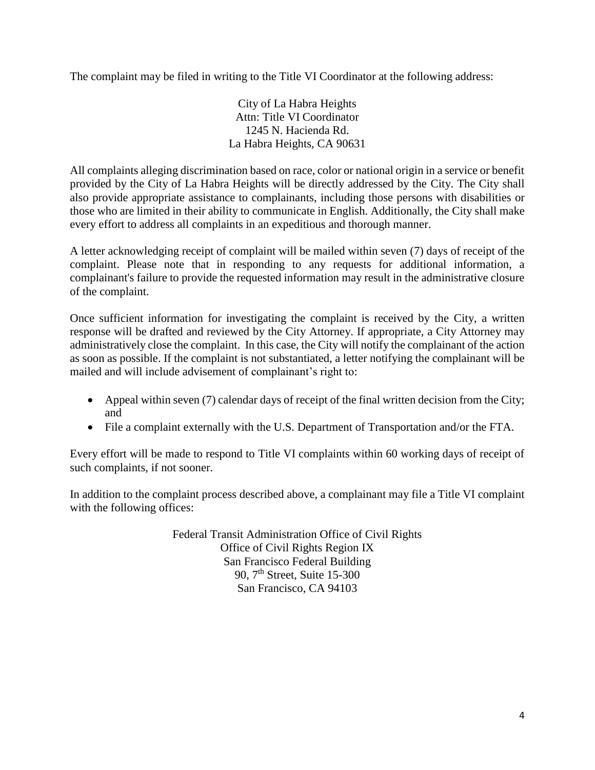The complaint may be filed in writing to the Title VI Coordinator at the following address:

City of La Habra Heights Attn: Title VI Coordinator 1245 N. Hacienda Rd. La Habra Heights, CA 90631

All complaints alleging discrimination based on race, color or national origin in a service or benefit provided by the City of La Habra Heights will be directly addressed by the City. The City shall also provide appropriate assistance to complainants, including those persons with disabilities or those who are limited in their ability to communicate in English. Additionally, the City shall make every effort to address all complaints in an expeditious and thorough manner.

A letter acknowledging receipt of complaint will be mailed within seven (7) days of receipt of the complaint. Please note that in responding to any requests for additional information, a complainant's failure to provide the requested information may result in the administrative closure of the complaint.

Once sufficient information for investigating the complaint is received by the City, a written response will be drafted and reviewed by the City Attorney. If appropriate, a City Attorney may administratively close the complaint. In this case, the City will notify the complainant of the action as soon as possible. If the complaint is not substantiated, a letter notifying the complainant will be mailed and will include advisement of complainant's right to:

- Appeal within seven  $(7)$  calendar days of receipt of the final written decision from the City; and
- File a complaint externally with the U.S. Department of Transportation and/or the FTA.

Every effort will be made to respond to Title VI complaints within 60 working days of receipt of such complaints, if not sooner.

In addition to the complaint process described above, a complainant may file a Title VI complaint with the following offices:

> Federal Transit Administration Office of Civil Rights Office of Civil Rights Region IX San Francisco Federal Building 90, 7th Street, Suite 15-300 San Francisco, CA 94103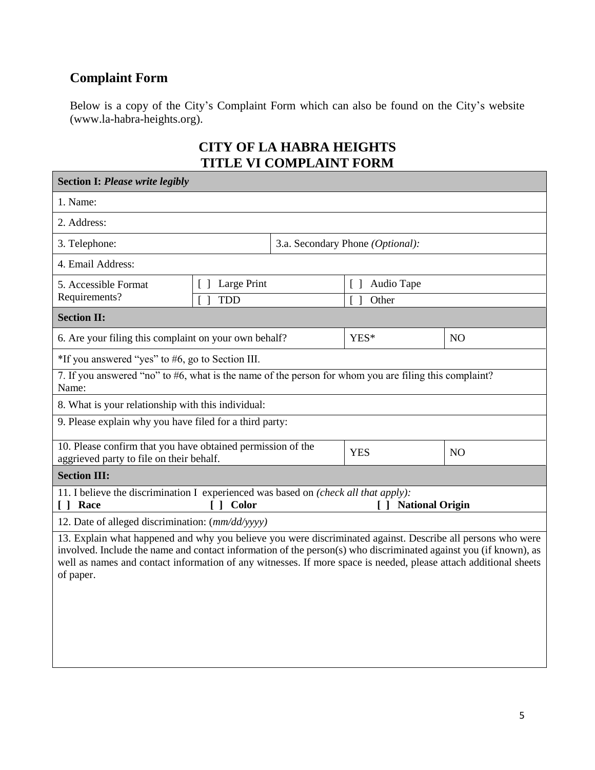#### **Complaint Form**

Below is a copy of the City's Complaint Form which can also be found on the City's website (www.la-habra-heights.org).

#### **CITY OF LA HABRA HEIGHTS TITLE VI COMPLAINT FORM**

| <b>Section I: Please write legibly</b>                                                                                                                                                                                                                                                                                                                           |                                                                |  |                                                        |                |  |
|------------------------------------------------------------------------------------------------------------------------------------------------------------------------------------------------------------------------------------------------------------------------------------------------------------------------------------------------------------------|----------------------------------------------------------------|--|--------------------------------------------------------|----------------|--|
| 1. Name:                                                                                                                                                                                                                                                                                                                                                         |                                                                |  |                                                        |                |  |
| 2. Address:                                                                                                                                                                                                                                                                                                                                                      |                                                                |  |                                                        |                |  |
| 3. Telephone:                                                                                                                                                                                                                                                                                                                                                    |                                                                |  | 3.a. Secondary Phone (Optional):                       |                |  |
| 4. Email Address:                                                                                                                                                                                                                                                                                                                                                |                                                                |  |                                                        |                |  |
| 5. Accessible Format<br>Requirements?                                                                                                                                                                                                                                                                                                                            | Large Print<br>$\begin{bmatrix} 1 \end{bmatrix}$<br><b>TDD</b> |  | Audio Tape<br>$\begin{bmatrix} \end{bmatrix}$<br>Other |                |  |
| <b>Section II:</b>                                                                                                                                                                                                                                                                                                                                               |                                                                |  |                                                        |                |  |
| 6. Are your filing this complaint on your own behalf?                                                                                                                                                                                                                                                                                                            |                                                                |  | YES*                                                   | N <sub>O</sub> |  |
| *If you answered "yes" to #6, go to Section III.                                                                                                                                                                                                                                                                                                                 |                                                                |  |                                                        |                |  |
| 7. If you answered "no" to #6, what is the name of the person for whom you are filing this complaint?<br>Name:                                                                                                                                                                                                                                                   |                                                                |  |                                                        |                |  |
| 8. What is your relationship with this individual:                                                                                                                                                                                                                                                                                                               |                                                                |  |                                                        |                |  |
| 9. Please explain why you have filed for a third party:                                                                                                                                                                                                                                                                                                          |                                                                |  |                                                        |                |  |
| 10. Please confirm that you have obtained permission of the<br><b>YES</b><br>N <sub>O</sub><br>aggrieved party to file on their behalf.                                                                                                                                                                                                                          |                                                                |  |                                                        |                |  |
| <b>Section III:</b>                                                                                                                                                                                                                                                                                                                                              |                                                                |  |                                                        |                |  |
| 11. I believe the discrimination I experienced was based on (check all that apply):<br>[ ] Race<br>[ ] Color<br>[] National Origin                                                                                                                                                                                                                               |                                                                |  |                                                        |                |  |
| 12. Date of alleged discrimination: (mm/dd/yyyy)                                                                                                                                                                                                                                                                                                                 |                                                                |  |                                                        |                |  |
| 13. Explain what happened and why you believe you were discriminated against. Describe all persons who were<br>involved. Include the name and contact information of the person(s) who discriminated against you (if known), as<br>well as names and contact information of any witnesses. If more space is needed, please attach additional sheets<br>of paper. |                                                                |  |                                                        |                |  |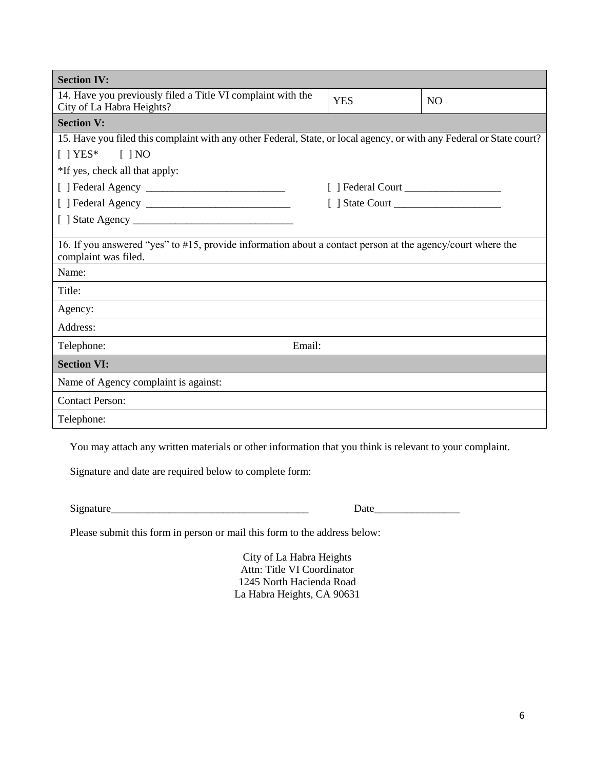| <b>Section IV:</b>                                                                                                                          |            |           |  |  |  |
|---------------------------------------------------------------------------------------------------------------------------------------------|------------|-----------|--|--|--|
| 14. Have you previously filed a Title VI complaint with the<br>City of La Habra Heights?                                                    | <b>YES</b> | <b>NO</b> |  |  |  |
| <b>Section V:</b>                                                                                                                           |            |           |  |  |  |
| 15. Have you filed this complaint with any other Federal, State, or local agency, or with any Federal or State court?                       |            |           |  |  |  |
| $[$   YES* $[$   NO                                                                                                                         |            |           |  |  |  |
| *If yes, check all that apply:                                                                                                              |            |           |  |  |  |
|                                                                                                                                             |            |           |  |  |  |
|                                                                                                                                             |            |           |  |  |  |
|                                                                                                                                             |            |           |  |  |  |
| 16. If you answered "yes" to #15, provide information about a contact person at the agency/court where the<br>complaint was filed.<br>Name: |            |           |  |  |  |
| Title:                                                                                                                                      |            |           |  |  |  |
| Agency:                                                                                                                                     |            |           |  |  |  |
| Address:                                                                                                                                    |            |           |  |  |  |
| Email:<br>Telephone:                                                                                                                        |            |           |  |  |  |
| <b>Section VI:</b>                                                                                                                          |            |           |  |  |  |
| Name of Agency complaint is against:                                                                                                        |            |           |  |  |  |
| <b>Contact Person:</b>                                                                                                                      |            |           |  |  |  |
| Telephone:                                                                                                                                  |            |           |  |  |  |

You may attach any written materials or other information that you think is relevant to your complaint.

Signature and date are required below to complete form:

Signature\_\_\_\_\_\_\_\_\_\_\_\_\_\_\_\_\_\_\_\_\_\_\_\_\_\_\_\_\_\_\_\_\_\_\_\_\_ Date\_\_\_\_\_\_\_\_\_\_\_\_\_\_\_\_

Please submit this form in person or mail this form to the address below:

City of La Habra Heights Attn: Title VI Coordinator 1245 North Hacienda Road La Habra Heights, CA 90631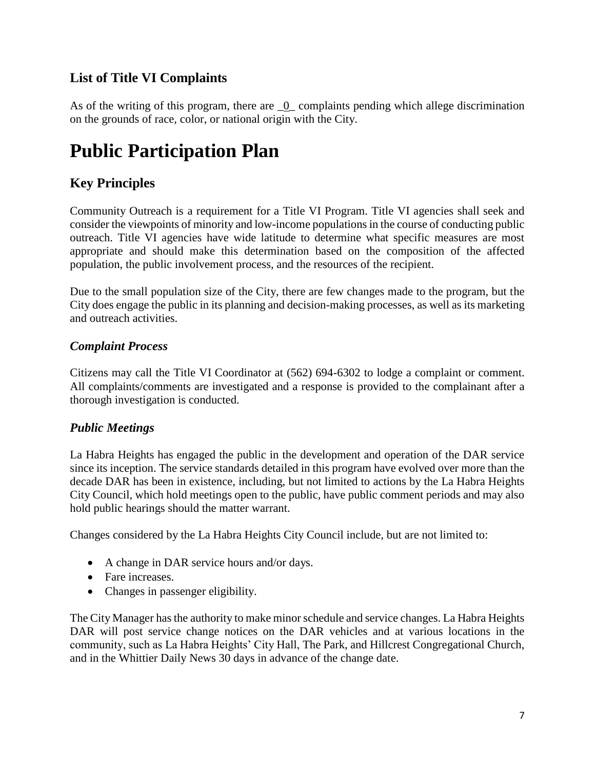#### **List of Title VI Complaints**

As of the writing of this program, there are  $\overline{\phantom{a}}0$  complaints pending which allege discrimination on the grounds of race, color, or national origin with the City.

## **Public Participation Plan**

#### **Key Principles**

Community Outreach is a requirement for a Title VI Program. Title VI agencies shall seek and consider the viewpoints of minority and low-income populations in the course of conducting public outreach. Title VI agencies have wide latitude to determine what specific measures are most appropriate and should make this determination based on the composition of the affected population, the public involvement process, and the resources of the recipient.

Due to the small population size of the City, there are few changes made to the program, but the City does engage the public in its planning and decision-making processes, as well as its marketing and outreach activities.

#### *Complaint Process*

Citizens may call the Title VI Coordinator at (562) 694-6302 to lodge a complaint or comment. All complaints/comments are investigated and a response is provided to the complainant after a thorough investigation is conducted.

#### *Public Meetings*

La Habra Heights has engaged the public in the development and operation of the DAR service since its inception. The service standards detailed in this program have evolved over more than the decade DAR has been in existence, including, but not limited to actions by the La Habra Heights City Council, which hold meetings open to the public, have public comment periods and may also hold public hearings should the matter warrant.

Changes considered by the La Habra Heights City Council include, but are not limited to:

- A change in DAR service hours and/or days.
- Fare increases.
- Changes in passenger eligibility.

The City Manager has the authority to make minor schedule and service changes. La Habra Heights DAR will post service change notices on the DAR vehicles and at various locations in the community, such as La Habra Heights' City Hall, The Park, and Hillcrest Congregational Church, and in the Whittier Daily News 30 days in advance of the change date.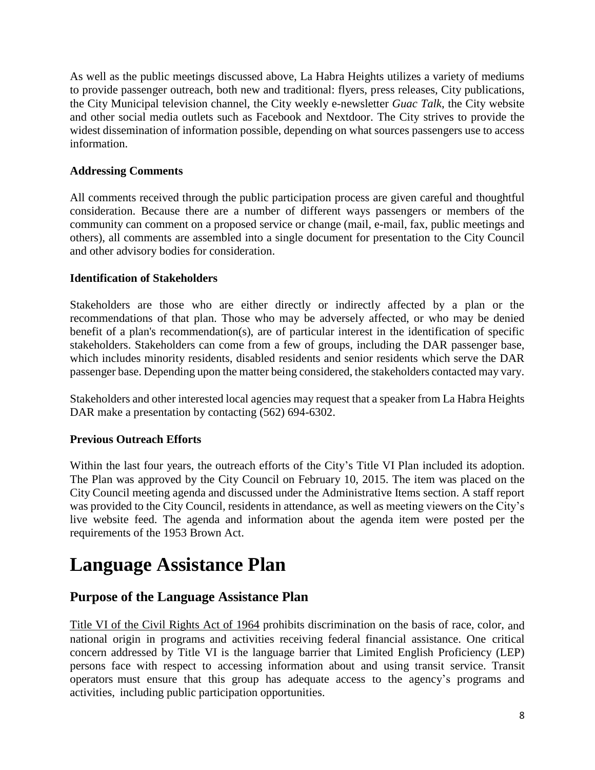As well as the public meetings discussed above, La Habra Heights utilizes a variety of mediums to provide passenger outreach, both new and traditional: flyers, press releases, City publications, the City Municipal television channel, the City weekly e-newsletter *Guac Talk*, the City website and other social media outlets such as Facebook and Nextdoor. The City strives to provide the widest dissemination of information possible, depending on what sources passengers use to access information.

#### **Addressing Comments**

All comments received through the public participation process are given careful and thoughtful consideration. Because there are a number of different ways passengers or members of the community can comment on a proposed service or change (mail, e-mail, fax, public meetings and others), all comments are assembled into a single document for presentation to the City Council and other advisory bodies for consideration.

#### **Identification of Stakeholders**

Stakeholders are those who are either directly or indirectly affected by a plan or the recommendations of that plan. Those who may be adversely affected, or who may be denied benefit of a plan's recommendation(s), are of particular interest in the identification of specific stakeholders. Stakeholders can come from a few of groups, including the DAR passenger base, which includes minority residents, disabled residents and senior residents which serve the DAR passenger base. Depending upon the matter being considered, the stakeholders contacted may vary.

Stakeholders and other interested local agencies may request that a speaker from La Habra Heights DAR make a presentation by contacting  $(562)$  694-6302.

#### **Previous Outreach Efforts**

Within the last four years, the outreach efforts of the City's Title VI Plan included its adoption. The Plan was approved by the City Council on February 10, 2015. The item was placed on the City Council meeting agenda and discussed under the Administrative Items section. A staff report was provided to the City Council, residents in attendance, as well as meeting viewers on the City's live website feed. The agenda and information about the agenda item were posted per the requirements of the 1953 Brown Act.

## **Language Assistance Plan**

#### **Purpose of the Language Assistance Plan**

Title VI of the Civil Rights Act of 1964 prohibits discrimination on the basis of race, color, and national origin in programs and activities receiving federal financial assistance. One critical concern addressed by Title VI is the language barrier that Limited English Proficiency (LEP) persons face with respect to accessing information about and using transit service. Transit operators must ensure that this group has adequate access to the agency's programs and activities, including public participation opportunities.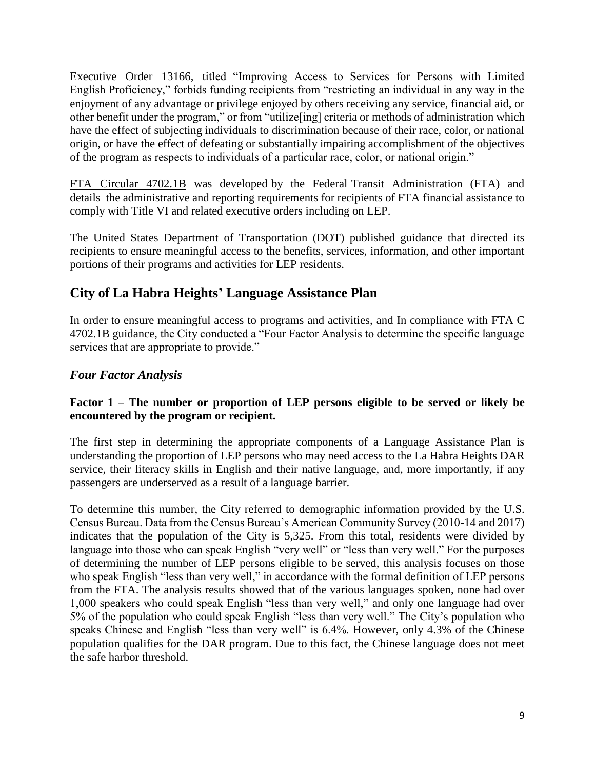Executive Order 13166, titled "Improving Access to Services for Persons with Limited English Proficiency," forbids funding recipients from "restricting an individual in any way in the enjoyment of any advantage or privilege enjoyed by others receiving any service, financial aid, or other benefit under the program," or from "utilize[ing] criteria or methods of administration which have the effect of subjecting individuals to discrimination because of their race, color, or national origin, or have the effect of defeating or substantially impairing accomplishment of the objectives of the program as respects to individuals of a particular race, color, or national origin."

FTA Circular 4702.1B was developed by the Federal Transit Administration (FTA) and details the administrative and reporting requirements for recipients of FTA financial assistance to comply with Title VI and related executive orders including on LEP.

The United States Department of Transportation (DOT) published guidance that directed its recipients to ensure meaningful access to the benefits, services, information, and other important portions of their programs and activities for LEP residents.

#### **City of La Habra Heights' Language Assistance Plan**

In order to ensure meaningful access to programs and activities, and In compliance with FTA C 4702.1B guidance, the City conducted a "Four Factor Analysis to determine the specific language services that are appropriate to provide."

#### *Four Factor Analysis*

#### **Factor 1 – The number or proportion of LEP persons eligible to be served or likely be encountered by the program or recipient.**

The first step in determining the appropriate components of a Language Assistance Plan is understanding the proportion of LEP persons who may need access to the La Habra Heights DAR service, their literacy skills in English and their native language, and, more importantly, if any passengers are underserved as a result of a language barrier.

To determine this number, the City referred to demographic information provided by the U.S. Census Bureau. Data from the Census Bureau's American Community Survey (2010-14 and 2017) indicates that the population of the City is 5,325. From this total, residents were divided by language into those who can speak English "very well" or "less than very well." For the purposes of determining the number of LEP persons eligible to be served, this analysis focuses on those who speak English "less than very well," in accordance with the formal definition of LEP persons from the FTA. The analysis results showed that of the various languages spoken, none had over 1,000 speakers who could speak English "less than very well," and only one language had over 5% of the population who could speak English "less than very well." The City's population who speaks Chinese and English "less than very well" is 6.4%. However, only 4.3% of the Chinese population qualifies for the DAR program. Due to this fact, the Chinese language does not meet the safe harbor threshold.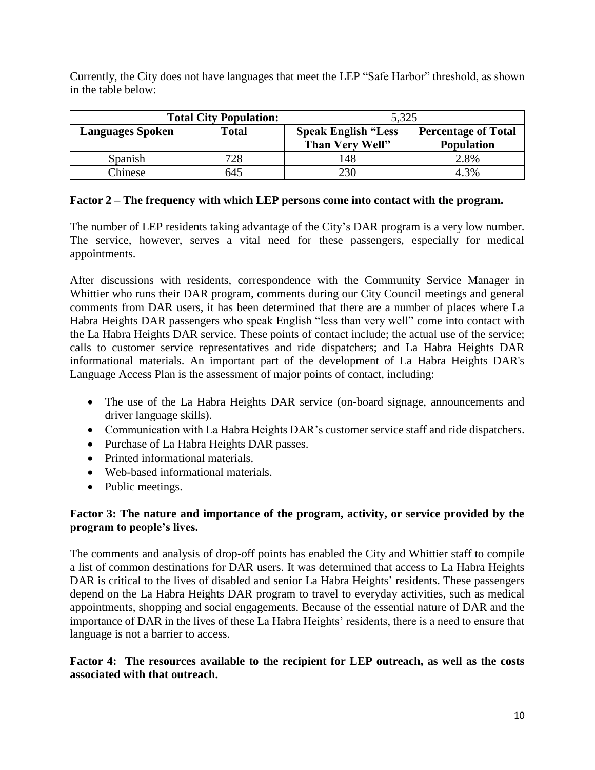Currently, the City does not have languages that meet the LEP "Safe Harbor" threshold, as shown in the table below:

| <b>Total City Population:</b> |              | 5,325                                         |                                                 |  |
|-------------------------------|--------------|-----------------------------------------------|-------------------------------------------------|--|
| <b>Languages Spoken</b>       | <b>Total</b> | <b>Speak English "Less</b><br>Than Very Well" | <b>Percentage of Total</b><br><b>Population</b> |  |
| Spanish                       | 728          | 148                                           | 2.8%                                            |  |
| Chinese                       | 645          | 230                                           | 4.3%                                            |  |

#### **Factor 2 – The frequency with which LEP persons come into contact with the program.**

The number of LEP residents taking advantage of the City's DAR program is a very low number. The service, however, serves a vital need for these passengers, especially for medical appointments.

After discussions with residents, correspondence with the Community Service Manager in Whittier who runs their DAR program, comments during our City Council meetings and general comments from DAR users, it has been determined that there are a number of places where La Habra Heights DAR passengers who speak English "less than very well" come into contact with the La Habra Heights DAR service. These points of contact include; the actual use of the service; calls to customer service representatives and ride dispatchers; and La Habra Heights DAR informational materials. An important part of the development of La Habra Heights DAR's Language Access Plan is the assessment of major points of contact, including:

- The use of the La Habra Heights DAR service (on-board signage, announcements and driver language skills).
- Communication with La Habra Heights DAR's customer service staff and ride dispatchers.
- Purchase of La Habra Heights DAR passes.
- Printed informational materials.
- Web-based informational materials.
- Public meetings.

#### **Factor 3: The nature and importance of the program, activity, or service provided by the program to people's lives.**

The comments and analysis of drop-off points has enabled the City and Whittier staff to compile a list of common destinations for DAR users. It was determined that access to La Habra Heights DAR is critical to the lives of disabled and senior La Habra Heights' residents. These passengers depend on the La Habra Heights DAR program to travel to everyday activities, such as medical appointments, shopping and social engagements. Because of the essential nature of DAR and the importance of DAR in the lives of these La Habra Heights' residents, there is a need to ensure that language is not a barrier to access.

**Factor 4: The resources available to the recipient for LEP outreach, as well as the costs associated with that outreach.**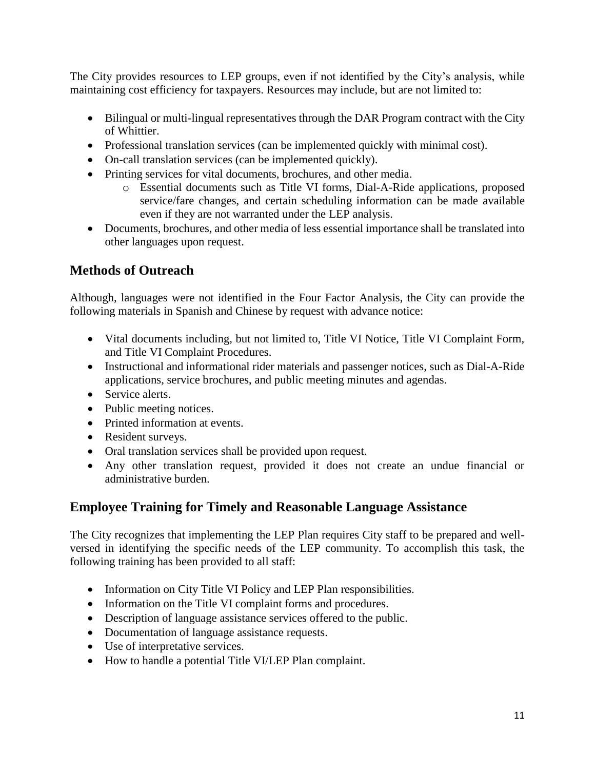The City provides resources to LEP groups, even if not identified by the City's analysis, while maintaining cost efficiency for taxpayers. Resources may include, but are not limited to:

- Bilingual or multi-lingual representatives through the DAR Program contract with the City of Whittier.
- Professional translation services (can be implemented quickly with minimal cost).
- On-call translation services (can be implemented quickly).
- Printing services for vital documents, brochures, and other media.
	- o Essential documents such as Title VI forms, Dial-A-Ride applications, proposed service/fare changes, and certain scheduling information can be made available even if they are not warranted under the LEP analysis.
- Documents, brochures, and other media of less essential importance shall be translated into other languages upon request.

#### **Methods of Outreach**

Although, languages were not identified in the Four Factor Analysis, the City can provide the following materials in Spanish and Chinese by request with advance notice:

- Vital documents including, but not limited to, Title VI Notice, Title VI Complaint Form, and Title VI Complaint Procedures.
- Instructional and informational rider materials and passenger notices, such as Dial-A-Ride applications, service brochures, and public meeting minutes and agendas.
- Service alerts.
- Public meeting notices.
- Printed information at events.
- Resident surveys.
- Oral translation services shall be provided upon request.
- Any other translation request, provided it does not create an undue financial or administrative burden.

#### **Employee Training for Timely and Reasonable Language Assistance**

The City recognizes that implementing the LEP Plan requires City staff to be prepared and wellversed in identifying the specific needs of the LEP community. To accomplish this task, the following training has been provided to all staff:

- Information on City Title VI Policy and LEP Plan responsibilities.
- Information on the Title VI complaint forms and procedures.
- Description of language assistance services offered to the public.
- Documentation of language assistance requests.
- Use of interpretative services.
- How to handle a potential Title VI/LEP Plan complaint.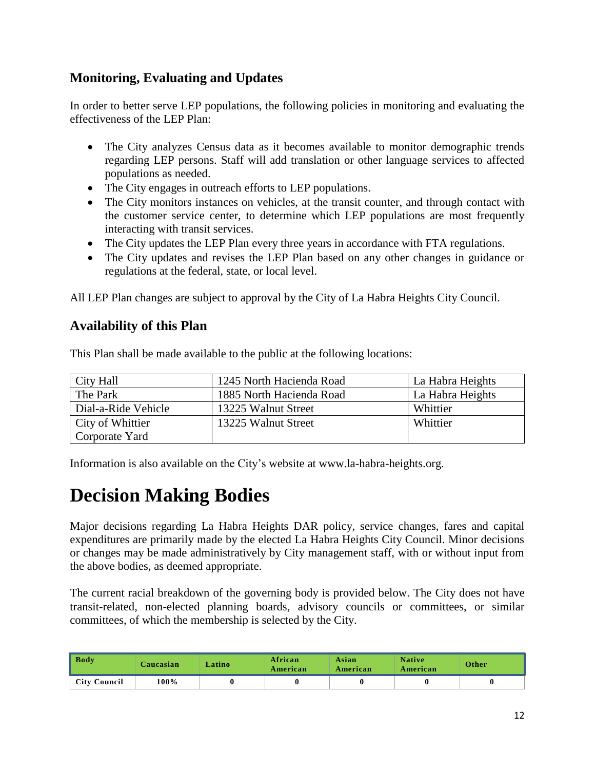#### **Monitoring, Evaluating and Updates**

In order to better serve LEP populations, the following policies in monitoring and evaluating the effectiveness of the LEP Plan:

- The City analyzes Census data as it becomes available to monitor demographic trends regarding LEP persons. Staff will add translation or other language services to affected populations as needed.
- The City engages in outreach efforts to LEP populations.
- The City monitors instances on vehicles, at the transit counter, and through contact with the customer service center, to determine which LEP populations are most frequently interacting with transit services.
- The City updates the LEP Plan every three years in accordance with FTA regulations.
- The City updates and revises the LEP Plan based on any other changes in guidance or regulations at the federal, state, or local level.

All LEP Plan changes are subject to approval by the City of La Habra Heights City Council.

#### **Availability of this Plan**

| City Hall           | 1245 North Hacienda Road | La Habra Heights |
|---------------------|--------------------------|------------------|
| The Park            | 1885 North Hacienda Road | La Habra Heights |
| Dial-a-Ride Vehicle | 13225 Walnut Street      | Whittier         |
| City of Whittier    | 13225 Walnut Street      | Whittier         |
| Corporate Yard      |                          |                  |

This Plan shall be made available to the public at the following locations:

Information is also available on the City's website at www.la-habra-heights.org.

## **Decision Making Bodies**

Major decisions regarding La Habra Heights DAR policy, service changes, fares and capital expenditures are primarily made by the elected La Habra Heights City Council. Minor decisions or changes may be made administratively by City management staff, with or without input from the above bodies, as deemed appropriate.

The current racial breakdown of the governing body is provided below. The City does not have transit-related, non-elected planning boards, advisory councils or committees, or similar committees, of which the membership is selected by the City.

| <b>Body</b>         | Caucasian | Latino | African<br>American | Asian<br>American | <b>Native</b><br>American | Other |
|---------------------|-----------|--------|---------------------|-------------------|---------------------------|-------|
| <b>City Council</b> | 100%      |        |                     |                   |                           |       |